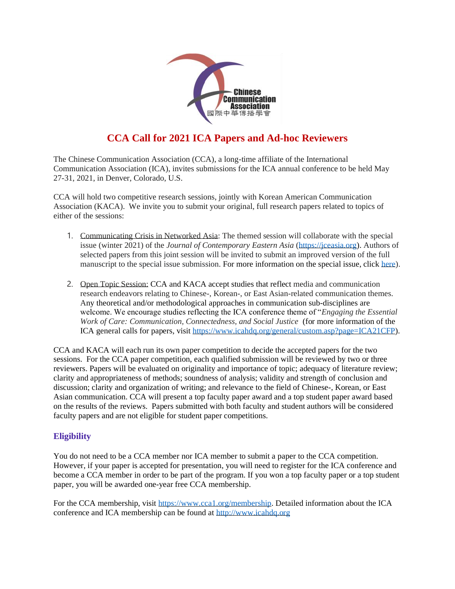

# **CCA Call for 2021 ICA Papers and Ad-hoc Reviewers**

The Chinese Communication Association (CCA), a long-time affiliate of the International Communication Association (ICA), invites submissions for the ICA annual conference to be held May 27-31, 2021, in Denver, Colorado, U.S.

CCA will hold two competitive research sessions, jointly with Korean American Communication Association (KACA). We invite you to submit your original, full research papers related to topics of either of the sessions:

- 1. Communicating Crisis in Networked Asia: The themed session will collaborate with the special issue (winter 2021) of the *Journal of Contemporary Eastern Asia* [\(https://jceasia.org\)](https://jceasia.org/). Authors of selected papers from this joint session will be invited to submit an improved version of the full manuscript to the special issue submission. For more information on the special issue, click [here\)](https://drive.google.com/file/d/1mzNtfLVF-8ufwQ8OxMzHE4C7to4EGogt/view?usp=sharing).
- 2. Open Topic Session: CCA and KACA accept studies that reflect media and communication research endeavors relating to Chinese-, Korean-, or East Asian-related communication themes. Any theoretical and/or methodological approaches in communication sub-disciplines are welcome. We encourage studies reflecting the ICA conference theme of "*Engaging the Essential Work of Care: Communication, Connectedness, and Social Justice* (for more information of the ICA general calls for papers, visit [https://www.icahdq.org/general/custom.asp?page=ICA21CFP\)](https://www.icahdq.org/general/custom.asp?page=ICA21CFP).

CCA and KACA will each run its own paper competition to decide the accepted papers for the two sessions. For the CCA paper competition, each qualified submission will be reviewed by two or three reviewers. Papers will be evaluated on originality and importance of topic; adequacy of literature review; clarity and appropriateness of methods; soundness of analysis; validity and strength of conclusion and discussion; clarity and organization of writing; and relevance to the field of Chinese-, Korean, or East Asian communication. CCA will present a top faculty paper award and a top student paper award based on the results of the reviews. Papers submitted with both faculty and student authors will be considered faculty papers and are not eligible for student paper competitions.

# **Eligibility**

You do not need to be a CCA member nor ICA member to submit a paper to the CCA competition. However, if your paper is accepted for presentation, you will need to register for the ICA conference and become a CCA member in order to be part of the program. If you won a top faculty paper or a top student paper, you will be awarded one-year free CCA membership.

For the CCA membership, visit [https://www.cca1.org/membership.](https://www.cca1.org/membership) Detailed information about the ICA conference and ICA membership can be found a[t http://www.icahdq.org](http://www.icahdq.org/)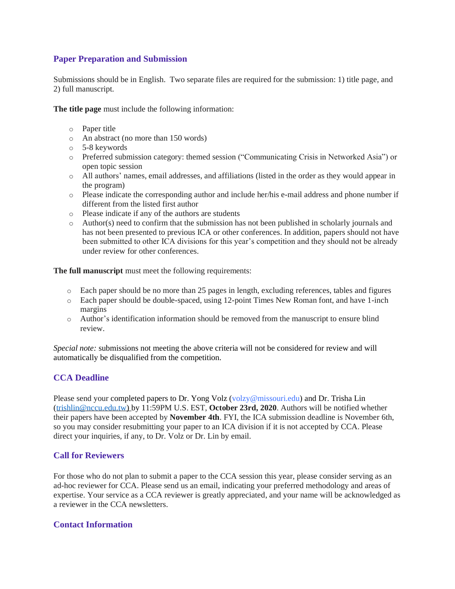### **Paper Preparation and Submission**

Submissions should be in English. Two separate files are required for the submission: 1) title page, and 2) full manuscript.

**The title page** must include the following information:

- o Paper title
- o An abstract (no more than 150 words)
- o 5-8 keywords
- o Preferred submission category: themed session ("Communicating Crisis in Networked Asia") or open topic session
- o All authors' names, email addresses, and affiliations (listed in the order as they would appear in the program)
- o Please indicate the corresponding author and include her/his e-mail address and phone number if different from the listed first author
- o Please indicate if any of the authors are students
- $\circ$  Author(s) need to confirm that the submission has not been published in scholarly journals and has not been presented to previous ICA or other conferences. In addition, papers should not have been submitted to other ICA divisions for this year's competition and they should not be already under review for other conferences.

**The full manuscript** must meet the following requirements:

- o Each paper should be no more than 25 pages in length, excluding references, tables and figures
- o Each paper should be double-spaced, using 12-point Times New Roman font, and have 1-inch margins
- o Author's identification information should be removed from the manuscript to ensure blind review.

*Special note:* submissions not meeting the above criteria will not be considered for review and will automatically be disqualified from the competition.

# **CCA Deadline**

Please send your completed papers to Dr. Yong Volz (volzy@missouri.edu) and Dr. Trisha Lin [\(trishlin@nccu.edu.tw\)](mailto:trishlin@nccu.edu.tw) by 11:59PM U.S. EST, **October 23rd, 2020**. Authors will be notified whether their papers have been accepted by **November 4th**. FYI, the ICA submission deadline is November 6th, so you may consider resubmitting your paper to an ICA division if it is not accepted by CCA. Please direct your inquiries, if any, to Dr. Volz or Dr. Lin by email.

# **Call for Reviewers**

For those who do not plan to submit a paper to the CCA session this year, please consider serving as an ad-hoc reviewer for CCA. Please send us an email, indicating your preferred methodology and areas of expertise. Your service as a CCA reviewer is greatly appreciated, and your name will be acknowledged as a reviewer in the CCA newsletters.

#### **Contact Information**